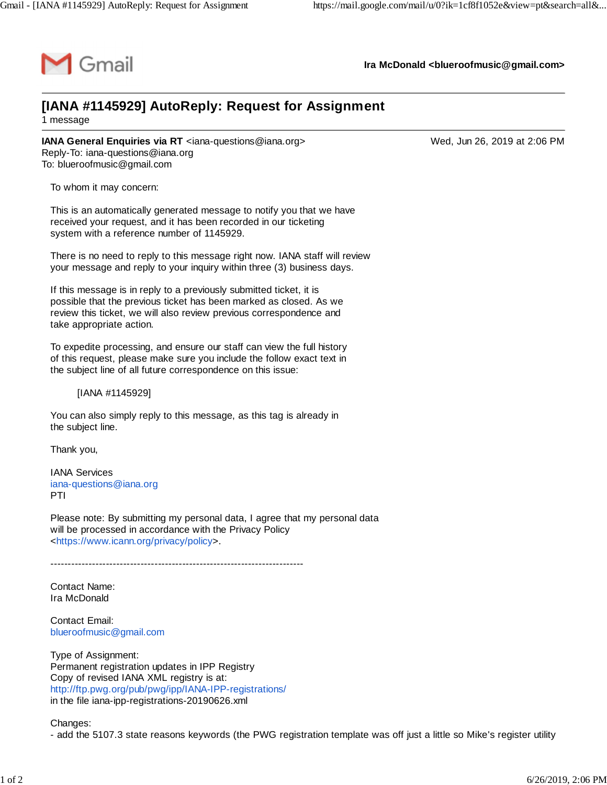

**Ira McDonald [<blueroofmusic@gmail.com>](mailto:blueroofmusic@gmail.com)**

## **[IANA #1145929] AutoReply: Request for Assignment** 1 message

**IANA General Enquiries via RT** <[iana-questions@iana.org](mailto:iana-questions@iana.org)> Wed, Jun 26, 2019 at 2:06 PM Reply-To: [iana-questions@iana.org](mailto:iana-questions@iana.org) To: [blueroofmusic@gmail.com](mailto:blueroofmusic@gmail.com)

To whom it may concern:

This is an automatically generated message to notify you that we have received your request, and it has been recorded in our ticketing system with a reference number of 1145929.

There is no need to reply to this message right now. IANA staff will review your message and reply to your inquiry within three (3) business days.

If this message is in reply to a previously submitted ticket, it is possible that the previous ticket has been marked as closed. As we review this ticket, we will also review previous correspondence and take appropriate action.

To expedite processing, and ensure our staff can view the full history of this request, please make sure you include the follow exact text in the subject line of all future correspondence on this issue:

[IANA #1145929]

You can also simply reply to this message, as this tag is already in the subject line.

Thank you,

IANA Services [iana-questions@iana.org](mailto:iana-questions@iana.org) PTI

Please note: By submitting my personal data, I agree that my personal data will be processed in accordance with the Privacy Policy <[https://www.icann.org/privacy/policy>](https://www.icann.org/privacy/policy).

-------------------------------------------------------------------------

Contact Name: Ira McDonald

Contact Email: [blueroofmusic@gmail.com](mailto:blueroofmusic@gmail.com)

Type of Assignment: Permanent registration updates in IPP Registry Copy of revised IANA XML registry is at: <http://ftp.pwg.org/pub/pwg/ipp/IANA-IPP-registrations/> in the file iana-ipp-registrations-20190626.xml

Changes:

- add the 5107.3 state reasons keywords (the PWG registration template was off just a little so Mike's register utility